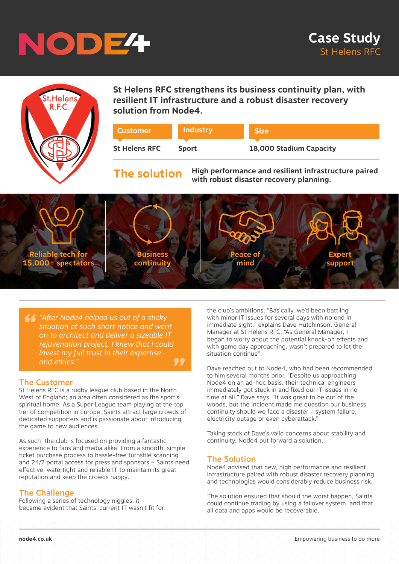



**St Helens RFC strengthens its business continuity plan, with resilient IT infrastructure and a robust disaster recovery solution from Node4.** 

| <b>Customer</b>      | <b>Industry</b> | <b>Size</b>             |
|----------------------|-----------------|-------------------------|
|                      |                 |                         |
| <b>St Helens RFC</b> | <b>Sport</b>    | 18,000 Stadium Capacity |

# **The solution**

**High performance and resilient infrastructure paired with robust disaster recovery planning.**



*" "After Node4 helped us out of a sticky " situation at such short notice and went on to architect and deliver a sizeable IT rejuvenation project, I knew that I could invest my full trust in their expertise and ethics."*

### The Customer

St Helens RFC is a rugby league club based in the North West of England; an area often considered as the sport's spiritual home. As a Super League team playing at the top tier of competition in Europe, Saints attract large crowds of dedicated supporters and is passionate about introducing the game to new audiences.

As such, the club is focused on providing a fantastic experience to fans and media alike. From a smooth, simple ticket purchase process to hassle-free turnstile scanning and 24/7 portal access for press and sponsors – Saints need effective, watertight and reliable IT to maintain its great reputation and keep the crowds happy.

### The Challenge

Following a series of technology niggles, it became evident that Saints' current IT wasn't fit for

the club's ambitions. "Basically, we'd been battling with minor IT issues for several days with no end in immediate sight," explains Dave Hutchinson, General Manager at St Helens RFC. "As General Manager, I began to worry about the potential knock-on effects and with game day approaching, wasn't prepared to let the situation continue".

Dave reached out to Node4, who had been recommended to him several months prior. "Despite us approaching Node4 on an ad-hoc basis, their technical engineers immediately got stuck in and fixed our IT issues in no time at all," Dave says. "It was great to be out of the woods, but the incident made me question our business continuity should we face a disaster – system failure, electricity outage or even cyberattack."

Taking stock of Dave's valid concerns about stability and continuity, Node4 put forward a solution.

#### The Solution

Node4 advised that new, high performance and resilient infrastructure paired with robust disaster recovery planning and technologies would considerably reduce business risk.

The solution ensured that should the worst happen, Saints could continue trading by using a failover system, and that all data and apps would be recoverable.